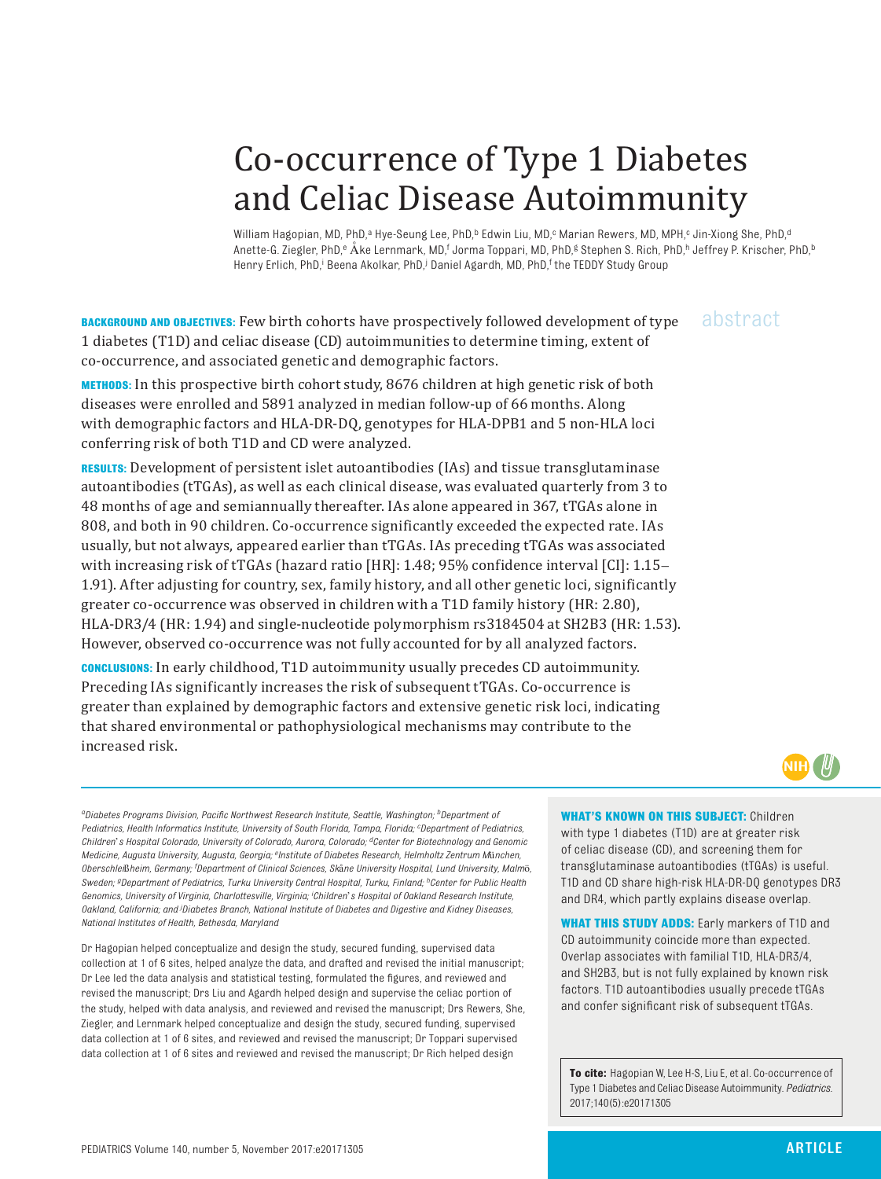# Co-occurrence of Type 1 Diabetes and Celiac Disease Autoimmunity

William Hagopian, MD, PhD,ª Hye-Seung Lee, PhD,ʰ Edwin Liu, MD,¢ Marian Rewers, MD, MPH,¢ Jin-Xiong She, PhD,ª Anette-G. Ziegler, PhD,<sup>e</sup> Åke Lernmark, MD,<sup>f</sup> Jorma Toppari, MD, PhD,<sup>g</sup> Stephen S. Rich, PhD,<sup>h</sup> Jeffrey P. Krischer, PhD,<sup>b</sup> Henry Erlich, PhD,<sup>i</sup> Beena Akolkar, PhD,<sup>j</sup> Daniel Agardh, MD, PhD,<sup>f</sup> the TEDDY Study Group

**BACKGROUND AND OBJECTIVES:** Few birth cohorts have prospectively followed development of type 1 diabetes (T1D) and celiac disease (CD) autoimmunities to determine timing, extent of co-occurrence, and associated genetic and demographic factors.

abstract

**METHODS:** In this prospective birth cohort study, 8676 children at high genetic risk of both diseases were enrolled and 5891 analyzed in median follow-up of 66 months. Along with demographic factors and HLA-DR-DQ, genotypes for HLA-DPB1 and 5 non-HLA loci conferring risk of both T1D and CD were analyzed.

**RESULTS:** Development of persistent islet autoantibodies (IAs) and tissue transglutaminase autoantibodies (tTGAs), as well as each clinical disease, was evaluated quarterly from 3 to 48 months of age and semiannually thereafter. IAs alone appeared in 367, tTGAs alone in 808, and both in 90 children. Co-occurrence significantly exceeded the expected rate. IAs usually, but not always, appeared earlier than tTGAs. IAs preceding tTGAs was associated with increasing risk of tTGAs (hazard ratio [HR]: 1.48; 95% confidence interval [CI]: 1.15– 1.91). After adjusting for country, sex, family history, and all other genetic loci, significantly greater co-occurrence was observed in children with a T1D family history (HR: 2.80), HLA-DR3/4 (HR: 1.94) and single-nucleotide polymorphism rs3184504 at SH2B3 (HR: 1.53). However, observed co-occurrence was not fully accounted for by all analyzed factors.

**CONCLUSIONS:** In early childhood, T1D autoimmunity usually precedes CD autoimmunity. Preceding IAs significantly increases the risk of subsequent tTGAs. Co-occurrence is greater than explained by demographic factors and extensive genetic risk loci, indicating that shared environmental or pathophysiological mechanisms may contribute to the increased risk.



*aDiabetes Programs Division, Pacific Northwest Research Institute, Seattle, Washington; bDepartment of Pediatrics, Health Informatics Institute, University of South Florida, Tampa, Florida; c Department of Pediatrics, Children*'*s Hospital Colorado, University of Colorado, Aurora, Colorado; dCenter for Biotechnology and Genomic Medicine, Augusta University, Augusta, Georgia; eInstitute of Diabetes Research, Helmholtz Zentrum M*ü*nchen, Oberschlei*ß*heim, Germany; f Department of Clinical Sciences, Sk*å*ne University Hospital, Lund University, Malm*ö*, Sweden; gDepartment of Pediatrics, Turku University Central Hospital, Turku, Finland; hCenter for Public Health Genomics, University of Virginia, Charlottesville, Virginia; i Children*'*s Hospital of Oakland Research Institute, Oakland, California; and j Diabetes Branch, National Institute of Diabetes and Digestive and Kidney Diseases, National Institutes of Health, Bethesda, Maryland*

Dr Hagopian helped conceptualize and design the study, secured funding, supervised data collection at 1 of 6 sites, helped analyze the data, and drafted and revised the initial manuscript; Dr Lee led the data analysis and statistical testing, formulated the figures, and reviewed and revised the manuscript; Drs Liu and Agardh helped design and supervise the celiac portion of the study, helped with data analysis, and reviewed and revised the manuscript; Drs Rewers, She, Ziegler, and Lernmark helped conceptualize and design the study, secured funding, supervised data collection at 1 of 6 sites, and reviewed and revised the manuscript; Dr Toppari supervised data collection at 1 of 6 sites and reviewed and revised the manuscript; Dr Rich helped design

**WHAT'S KNOWN ON THIS SUBJECT: Children** with type 1 diabetes (T1D) are at greater risk of celiac disease (CD), and screening them for transglutaminase autoantibodies (tTGAs) is useful. T1D and CD share high-risk HLA-DR-DQ genotypes DR3 and DR4, which partly explains disease overlap.

**WHAT THIS STUDY ADDS:** Early markers of T1D and CD autoimmunity coincide more than expected. Overlap associates with familial T1D, HLA-DR3/4, and SH2B3, but is not fully explained by known risk factors. T1D autoantibodies usually precede tTGAs and confer significant risk of subsequent tTGAs.

**To cite:** Hagopian W, Lee H-S, Liu E, et al. Co-occurrence of Type 1 Diabetes and Celiac Disease Autoimmunity. *Pediatrics.* 2017;140(5):e20171305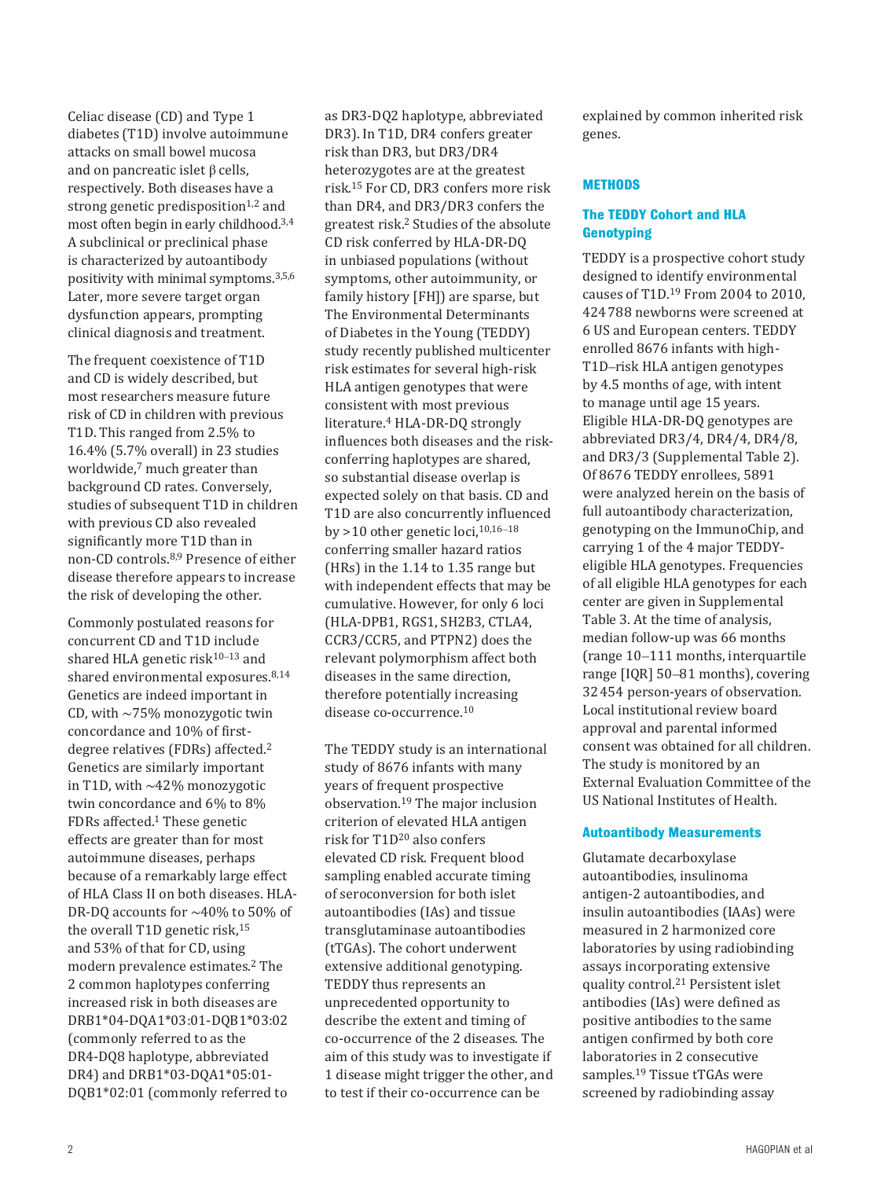Celiac disease (CD) and Type 1 diabetes (T1D) involve autoimmune attacks on small bowel mucosa and on pancreatic islet  $\beta$  cells, respectively. Both diseases have a strong genetic predisposition $1,2$  $1,2$  and most often begin in early childhood. [3](#page-8-2),[4](#page-8-3) A subclinical or preclinical phase is characterized by autoantibody positivity with minimal symptoms.[3](#page-8-2),[5](#page-8-4),[6](#page-8-5) Later, more severe target organ dysfunction appears, prompting clinical diagnosis and treatment.

The frequent coexistence of T1D and CD is widely described, but most researchers measure future risk of CD in children with previous T1D. This ranged from 2.5% to 16.4% (5.7% overall) in 23 studies worldwide,<sup>7</sup> much greater than background CD rates. Conversely, studies of subsequent T1D in children with previous CD also revealed significantly more T1D than in non-CD controls. [8,](#page-8-7)[9](#page-8-8) Presence of either disease therefore appears to increase the risk of developing the other.

Commonly postulated reasons for concurrent CD and T1D include shared HLA genetic risk $10-13$  $10-13$  and shared environmental exposures.<sup>8[,14](#page-8-11)</sup> Genetics are indeed important in CD, with ∼75% monozygotic twin concordance and 10% of firstdegree relatives (FDRs) affected. [2](#page-8-1) Genetics are similarly important in T1D, with ∼42% monozygotic twin concordance and 6% to 8% FDRs affected. [1](#page-8-0) These genetic effects are greater than for most autoimmune diseases, perhaps because of a remarkably large effect of HLA Class II on both diseases. HLA-DR-DQ accounts for ∼40% to 50% of the overall T1D genetic risk,  $15$ and 53% of that for CD, using modern prevalence estimates.[2](#page-8-1) The 2 common haplotypes conferring increased risk in both diseases are DRB1\*04-DQA1\*03:01-DQB1\*03:02 (commonly referred to as the DR4-DQ8 haplotype, abbreviated DR4) and DRB1\*03-DQA1\*05:01- DQB1\*02:01 (commonly referred to

as DR3-DQ2 haplotype, abbreviated DR3). In T1D, DR4 confers greater risk than DR3, but DR3/DR4 heterozygotes are at the greatest risk. [15](#page-8-12) For CD, DR3 confers more risk than DR4, and DR3/DR3 confers the greatest risk. [2](#page-8-1) Studies of the absolute CD risk conferred by HLA-DR-DQ in unbiased populations (without symptoms, other autoimmunity, or family history [FH]) are sparse, but The Environmental Determinants of Diabetes in the Young (TEDDY) study recently published multicenter risk estimates for several high-risk HLA antigen genotypes that were consistent with most previous literature. [4](#page-8-3) HLA-DR-DQ strongly influences both diseases and the riskconferring haplotypes are shared, so substantial disease overlap is expected solely on that basis. CD and T1D are also concurrently influenced by >10 other genetic loci,[10](#page-8-9),[16](#page-8-13)–[18](#page-8-14) conferring smaller hazard ratios (HRs) in the 1.14 to 1.35 range but with independent effects that may be cumulative. However, for only 6 loci (HLA-DPB1, RGS1, SH2B3, CTLA4, CCR3/CCR5, and PTPN2) does the relevant polymorphism affect both diseases in the same direction, therefore potentially increasing disease co-occurrence. [10](#page-8-9)

The TEDDY study is an international study of 8676 infants with many years of frequent prospective observation. [19](#page-8-15) The major inclusion criterion of elevated HLA antigen risk for T1D[20](#page-8-16) also confers elevated CD risk. Frequent blood sampling enabled accurate timing of seroconversion for both islet autoantibodies (IAs) and tissue transglutaminase autoantibodies (tTGAs). The cohort underwent extensive additional genotyping. TEDDY thus represents an unprecedented opportunity to describe the extent and timing of co-occurrence of the 2 diseases. The aim of this study was to investigate if 1 disease might trigger the other, and to test if their co-occurrence can be

explained by common inherited risk genes.

# **Methods**

# **The TEDDY Cohort and HLA Genotyping**

TEDDY is a prospective cohort study designed to identify environmental causes of T1D. [19](#page-8-15) From 2004 to 2010, 424788 newborns were screened at 6 US and European centers. TEDDY enrolled 8676 infants with high-T1D–risk HLA antigen genotypes by 4.5 months of age, with intent to manage until age 15 years. Eligible HLA-DR-DQ genotypes are abbreviated DR3/4, DR4/4, DR4/8, and DR3/3 [\(Supplemental Table 2\)](http://pediatrics.aappublications.org/lookup/suppl/doi:10.1542/peds.2017-1305/-/DCSupplemental). Of 8676 TEDDY enrollees, 5891 were analyzed herein on the basis of full autoantibody characterization, genotyping on the ImmunoChip, and carrying 1 of the 4 major TEDDYeligible HLA genotypes. Frequencies of all eligible HLA genotypes for each center are given in [Supplemental](http://pediatrics.aappublications.org/lookup/suppl/doi:10.1542/peds.2017-1305/-/DCSupplemental)  [Table 3](http://pediatrics.aappublications.org/lookup/suppl/doi:10.1542/peds.2017-1305/-/DCSupplemental). At the time of analysis, median follow-up was 66 months (range 10–111 months, interquartile range [IQR] 50–81 months), covering 32454 person-years of observation. Local institutional review board approval and parental informed consent was obtained for all children. The study is monitored by an External Evaluation Committee of the US National Institutes of Health.

## **Autoantibody Measurements**

Glutamate decarboxylase autoantibodies, insulinoma antigen-2 autoantibodies, and insulin autoantibodies (IAAs) were measured in 2 harmonized core laboratories by using radiobinding assays incorporating extensive quality control. [21](#page-8-17) Persistent islet antibodies (IAs) were defined as positive antibodies to the same antigen confirmed by both core laboratories in 2 consecutive samples. [19](#page-8-15) Tissue tTGAs were screened by radiobinding assay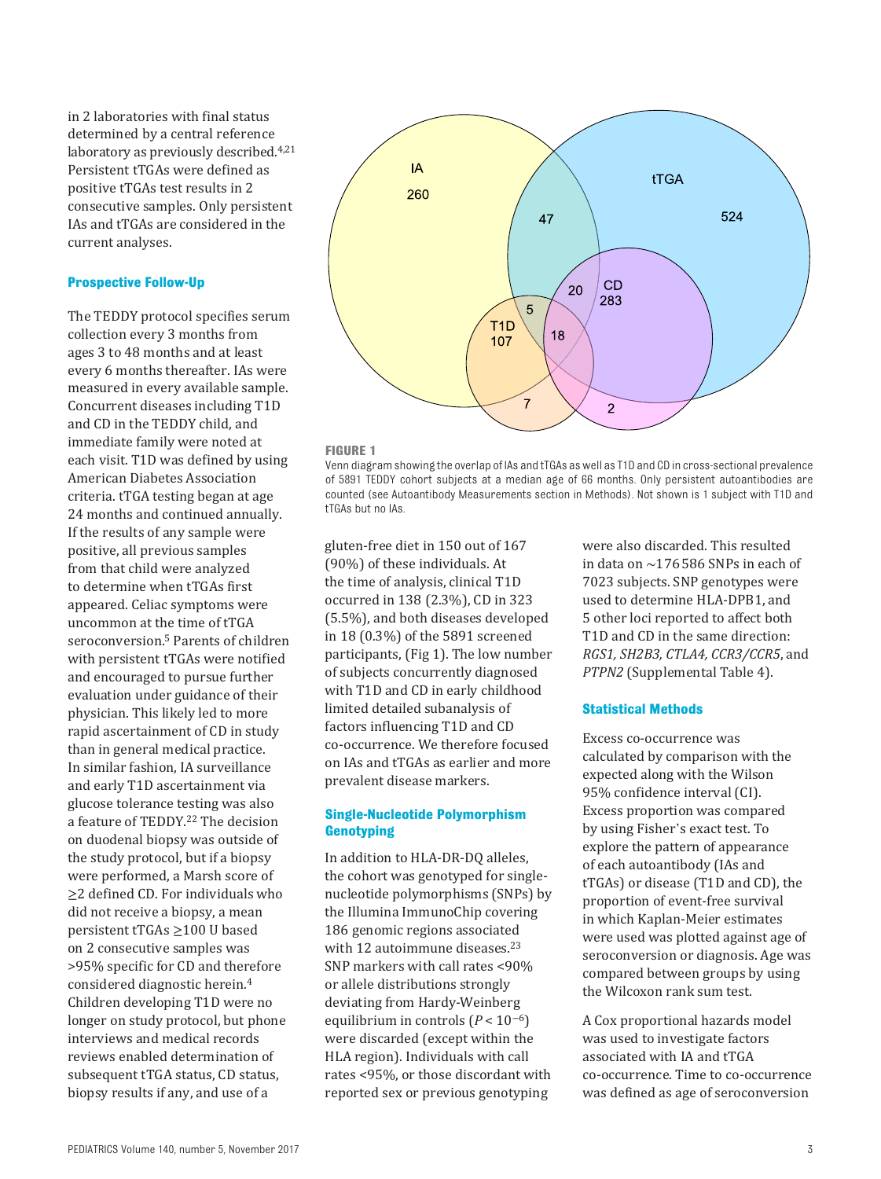in 2 laboratories with final status determined by a central reference laboratory as previously described. [4](#page-8-3)[,21](#page-8-17) Persistent tTGAs were defined as positive tTGAs test results in 2 consecutive samples. Only persistent IAs and tTGAs are considered in the current analyses.

#### **Prospective Follow-Up**

The TEDDY protocol specifies serum collection every 3 months from ages 3 to 48 months and at least every 6 months thereafter. IAs were measured in every available sample. Concurrent diseases including T1D and CD in the TEDDY child, and immediate family were noted at each visit. T1D was defined by using American Diabetes Association criteria. tTGA testing began at age 24 months and continued annually. If the results of any sample were positive, all previous samples from that child were analyzed to determine when tTGAs first appeared. Celiac symptoms were uncommon at the time of tTGA seroconversion. [5](#page-8-4) Parents of children with persistent tTGAs were notified and encouraged to pursue further evaluation under guidance of their physician. This likely led to more rapid ascertainment of CD in study than in general medical practice. In similar fashion, IA surveillance and early T1D ascertainment via glucose tolerance testing was also a feature of TEDDY. [22](#page-8-18) The decision on duodenal biopsy was outside of the study protocol, but if a biopsy were performed, a Marsh score of ≥2 defined CD. For individuals who did not receive a biopsy, a mean persistent tTGAs ≥100 U based on 2 consecutive samples was >95% specific for CD and therefore considered diagnostic herein. [4](#page-8-3) Children developing T1D were no longer on study protocol, but phone interviews and medical records reviews enabled determination of subsequent tTGA status, CD status, biopsy results if any, and use of a



#### <span id="page-2-0"></span>**FIGURE 1**

Venn diagram showing the overlap of IAs and tTGAs as well as T1D and CD in cross-sectional prevalence of 5891 TEDDY cohort subjects at a median age of 66 months. Only persistent autoantibodies are counted (see Autoantibody Measurements section in Methods). Not shown is 1 subject with T1D and tTGAs but no IAs.

gluten-free diet in 150 out of 167 (90%) of these individuals. At the time of analysis, clinical T1D occurred in 138 (2.3%), CD in 323 (5.5%), and both diseases developed in 18 (0.3%) of the 5891 screened participants, ([Fig 1\)](#page-2-0). The low number of subjects concurrently diagnosed with T1D and CD in early childhood limited detailed subanalysis of factors influencing T1D and CD co-occurrence. We therefore focused on IAs and tTGAs as earlier and more prevalent disease markers.

# **Single-Nucleotide Polymorphism Genotyping**

In addition to HLA-DR-DQ alleles, the cohort was genotyped for singlenucleotide polymorphisms (SNPs) by the Illumina ImmunoChip covering 186 genomic regions associated with 12 autoimmune diseases.<sup>[23](#page-8-19)</sup> SNP markers with call rates <90% or allele distributions strongly deviating from Hardy-Weinberg equilibrium in controls (*P* < 10<sup>−</sup>6) were discarded (except within the HLA region). Individuals with call rates <95%, or those discordant with reported sex or previous genotyping

were also discarded. This resulted in data on ∼176586 SNPs in each of 7023 subjects. SNP genotypes were used to determine HLA-DPB1, and 5 other loci reported to affect both T1D and CD in the same direction: *RGS1, SH2B3, CTLA4, CCR3/CCR5*, and *PTPN2* [\(Supplemental Table 4](http://pediatrics.aappublications.org/lookup/suppl/doi:10.1542/peds.2017-1305/-/DCSupplemental)).

## **Statistical Methods**

Excess co-occurrence was calculated by comparison with the expected along with the Wilson 95% confidence interval (CI). Excess proportion was compared by using Fisher's exact test. To explore the pattern of appearance of each autoantibody (IAs and tTGAs) or disease (T1D and CD), the proportion of event-free survival in which Kaplan-Meier estimates were used was plotted against age of seroconversion or diagnosis. Age was compared between groups by using the Wilcoxon rank sum test.

A Cox proportional hazards model was used to investigate factors associated with IA and tTGA co-occurrence. Time to co-occurrence was defined as age of seroconversion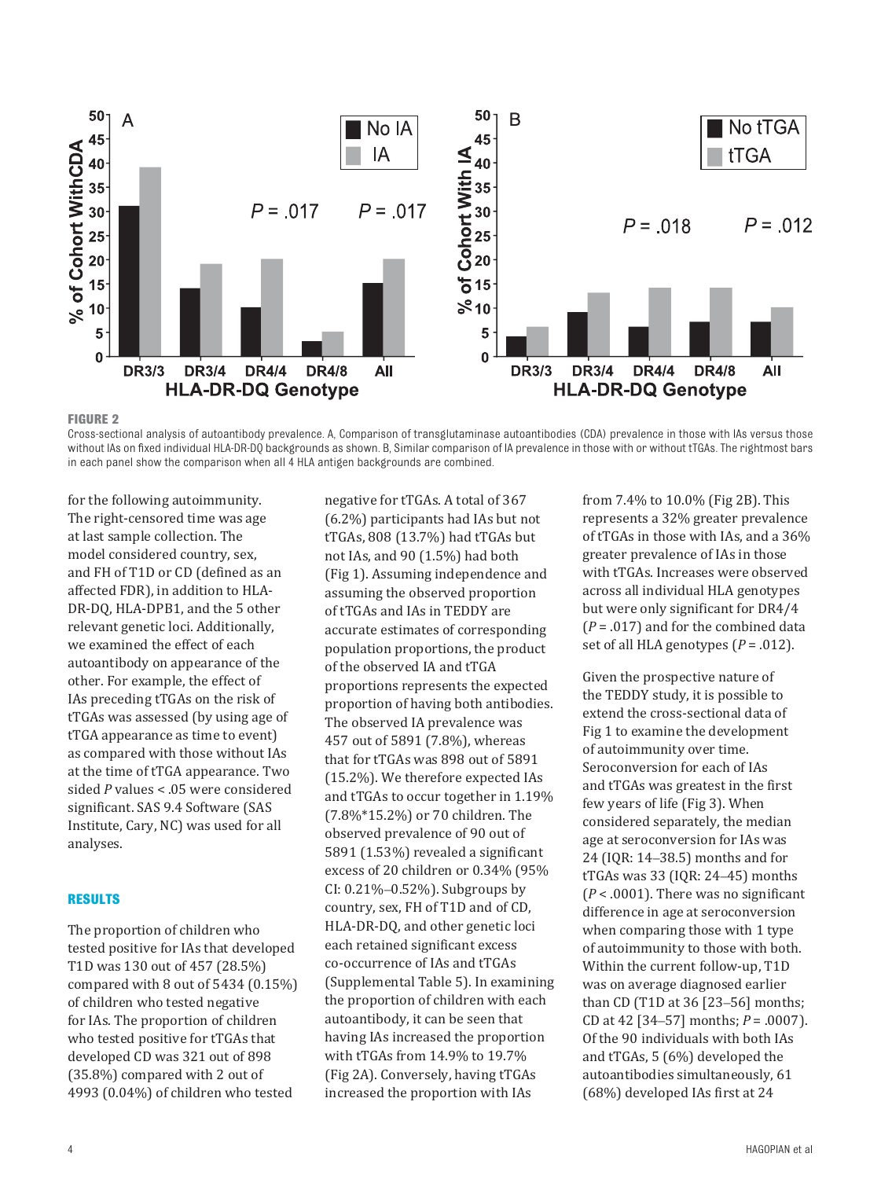

<span id="page-3-0"></span>**FIGURE 2**

Cross-sectional analysis of autoantibody prevalence. A, Comparison of transglutaminase autoantibodies (CDA) prevalence in those with IAs versus those without IAs on fixed individual HLA-DR-DQ backgrounds as shown. B, Similar comparison of IA prevalence in those with or without tTGAs. The rightmost bars in each panel show the comparison when all 4 HLA antigen backgrounds are combined.

for the following autoimmunity. The right-censored time was age at last sample collection. The model considered country, sex, and FH of T1D or CD (defined as an affected FDR), in addition to HLA-DR-DQ, HLA-DPB1, and the 5 other relevant genetic loci. Additionally, we examined the effect of each autoantibody on appearance of the other. For example, the effect of IAs preceding tTGAs on the risk of tTGAs was assessed (by using age of tTGA appearance as time to event) as compared with those without IAs at the time of tTGA appearance. Two sided *P* values < .05 were considered significant. SAS 9.4 Software (SAS Institute, Cary, NC) was used for all analyses.

#### **Results**

The proportion of children who tested positive for IAs that developed T1D was 130 out of 457 (28.5%) compared with 8 out of 5434 (0.15%) of children who tested negative for IAs. The proportion of children who tested positive for tTGAs that developed CD was 321 out of 898 (35.8%) compared with 2 out of 4993 (0.04%) of children who tested

negative for tTGAs. A total of 367 (6.2%) participants had IAs but not tTGAs, 808 (13.7%) had tTGAs but not IAs, and 90 (1.5%) had both ([Fig 1](#page-2-0)). Assuming independence and assuming the observed proportion of tTGAs and IAs in TEDDY are accurate estimates of corresponding population proportions, the product of the observed IA and tTGA proportions represents the expected proportion of having both antibodies. The observed IA prevalence was 457 out of 5891 (7.8%), whereas that for tTGAs was 898 out of 5891 (15.2%). We therefore expected IAs and tTGAs to occur together in 1.19% (7.8%\*15.2%) or 70 children. The observed prevalence of 90 out of 5891 (1.53%) revealed a significant excess of 20 children or 0.34% (95% CI: 0.21%–0.52%). Subgroups by country, sex, FH of T1D and of CD, HLA-DR-DQ, and other genetic loci each retained significant excess co-occurrence of IAs and tTGAs ([Supplemental Table 5\)](http://pediatrics.aappublications.org/lookup/suppl/doi:10.1542/peds.2017-1305/-/DCSupplemental). In examining the proportion of children with each autoantibody, it can be seen that having IAs increased the proportion with tTGAs from 14.9% to 19.7% ([Fig 2A](#page-3-0)). Conversely, having tTGAs increased the proportion with IAs

from 7.4% to 10.0% [\(](#page-3-0)[Fig 2B\)](#page-3-0). This represents a 32% greater prevalence of tTGAs in those with IAs, and a 36% greater prevalence of IAs in those with tTGAs. Increases were observed across all individual HLA genotypes but were only significant for DR4/4 (*P* = .017) and for the combined data set of all HLA genotypes  $(P = .012)$ .

Given the prospective nature of the TEDDY study, it is possible to extend the cross-sectional data of [Fig 1](#page-2-0) to examine the development of autoimmunity over time. Seroconversion for each of IAs and tTGAs was greatest in the first few years of life ([Fig 3](#page-4-0)). When considered separately, the median age at seroconversion for IAs was 24 (IQR: 14–38.5) months and for tTGAs was 33 (IQR: 24–45) months (*P* < .0001). There was no significant difference in age at seroconversion when comparing those with 1 type of autoimmunity to those with both. Within the current follow-up, T1D was on average diagnosed earlier than CD (T1D at 36 [23–56] months; CD at 42 [34–57] months; *P* = .0007). Of the 90 individuals with both IAs and tTGAs, 5 (6%) developed the autoantibodies simultaneously, 61 (68%) developed IAs first at 24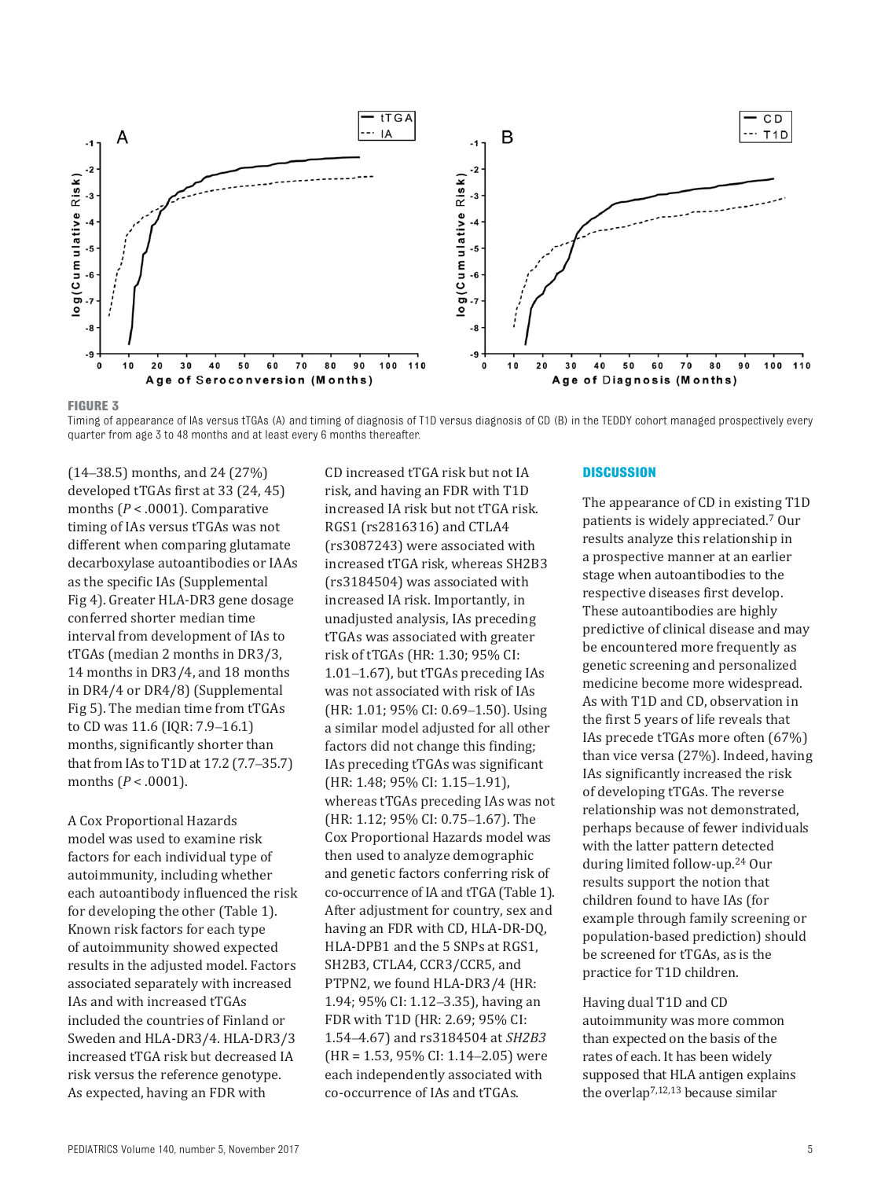

<span id="page-4-0"></span>**FIGURE 3**

Timing of appearance of IAs versus tTGAs (A) and timing of diagnosis of T1D versus diagnosis of CD (B) in the TEDDY cohort managed prospectively every quarter from age 3 to 48 months and at least every 6 months thereafter.

(14–38.5) months, and 24 (27%) developed tTGAs first at 33 (24, 45) months (*P* < .0001). Comparative timing of IAs versus tTGAs was not different when comparing glutamate decarboxylase autoantibodies or IAAs as the specific IAs [\(Supplemental](http://pediatrics.aappublications.org/lookup/suppl/doi:10.1542/peds.2017-1305/-/DCSupplemental)  [Fig 4\)](http://pediatrics.aappublications.org/lookup/suppl/doi:10.1542/peds.2017-1305/-/DCSupplemental). Greater HLA-DR3 gene dosage conferred shorter median time interval from development of IAs to tTGAs (median 2 months in DR3/3, 14 months in DR3/4, and 18 months in DR4/4 or DR4/8) [\(Supplemental](http://pediatrics.aappublications.org/lookup/suppl/doi:10.1542/peds.2017-1305/-/DCSupplemental)  [Fig 5\)](http://pediatrics.aappublications.org/lookup/suppl/doi:10.1542/peds.2017-1305/-/DCSupplemental). The median time from tTGAs to CD was 11.6 (IQR: 7.9–16.1) months, significantly shorter than that from IAs to T1D at 17.2 (7.7–35.7) months (*P* < .0001).

A Cox Proportional Hazards model was used to examine risk factors for each individual type of autoimmunity, including whether each autoantibody influenced the risk for developing the other (Table 1). Known risk factors for each type of autoimmunity showed expected results in the adjusted model. Factors associated separately with increased IAs and with increased tTGAs included the countries of Finland or Sweden and HLA-DR3/4. HLA-DR3/3 increased tTGA risk but decreased IA risk versus the reference genotype. As expected, having an FDR with

CD increased tTGA risk but not IA risk, and having an FDR with T1D increased IA risk but not tTGA risk. RGS1 (rs2816316) and CTLA4 (rs3087243) were associated with increased tTGA risk, whereas SH2B3 (rs3184504) was associated with increased IA risk. Importantly, in unadjusted analysis, IAs preceding tTGAs was associated with greater risk of tTGAs (HR: 1.30; 95% CI: 1.01–1.67), but tTGAs preceding IAs was not associated with risk of IAs (HR: 1.01; 95% CI: 0.69–1.50). Using a similar model adjusted for all other factors did not change this finding; IAs preceding tTGAs was significant (HR: 1.48; 95% CI: 1.15–1.91), whereas tTGAs preceding IAs was not (HR: 1.12; 95% CI: 0.75–1.67). The Cox Proportional Hazards model was then used to analyze demographic and genetic factors conferring risk of co-occurrence of IA and tTGA (Table 1). After adjustment for country, sex and having an FDR with CD, HLA-DR-DQ, HLA-DPB1 and the 5 SNPs at RGS1, SH2B3, CTLA4, CCR3/CCR5, and PTPN2, we found HLA-DR3/4 (HR: 1.94; 95% CI: 1.12–3.35), having an FDR with T1D (HR: 2.69; 95% CI: 1.54–4.67) and rs3184504 at *SH2B3* (HR = 1.53, 95% CI: 1.14–2.05) were each independently associated with co-occurrence of IAs and tTGAs.

#### **Discussion**

The appearance of CD in existing T1D patients is widely appreciated. [7](#page-8-6) Our results analyze this relationship in a prospective manner at an earlier stage when autoantibodies to the respective diseases first develop. These autoantibodies are highly predictive of clinical disease and may be encountered more frequently as genetic screening and personalized medicine become more widespread. As with T1D and CD, observation in the first 5 years of life reveals that IAs precede tTGAs more often (67%) than vice versa (27%). Indeed, having IAs significantly increased the risk of developing tTGAs. The reverse relationship was not demonstrated, perhaps because of fewer individuals with the latter pattern detected during limited follow-up. [24](#page-8-20) Our results support the notion that children found to have IAs (for example through family screening or population-based prediction) should be screened for tTGAs, as is the practice for T1D children.

Having dual T1D and CD autoimmunity was more common than expected on the basis of the rates of each. It has been widely supposed that HLA antigen explains the overla[p](#page-8-6)[7,](#page-8-6)[12](#page-8-21)[,13](#page-8-10) because similar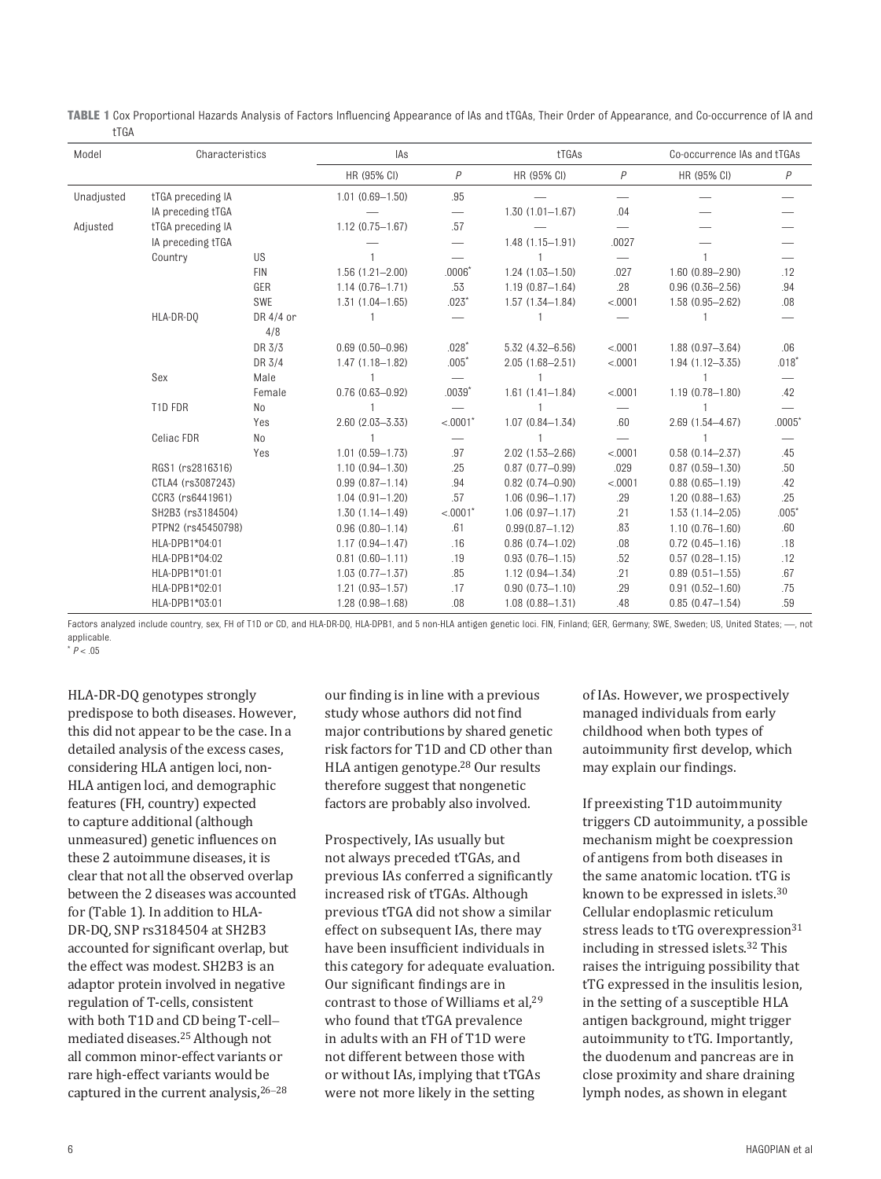| Model      | Characteristics    |                | IAs                    |                 | tTGAs                  |                          | Co-occurrence IAs and tTGAs |          |
|------------|--------------------|----------------|------------------------|-----------------|------------------------|--------------------------|-----------------------------|----------|
|            |                    |                | HR (95% CI)            | P               | HR (95% CI)            | $\overline{P}$           | HR (95% CI)                 | Ρ        |
| Unadjusted | tTGA preceding IA  |                | $1.01(0.69 - 1.50)$    | .95             |                        |                          |                             |          |
|            | IA preceding tTGA  |                |                        |                 | $1.30(1.01 - 1.67)$    | .04                      |                             |          |
| Adjusted   | tTGA preceding IA  |                | $1.12(0.75 - 1.67)$    | .57             |                        | $\overline{\phantom{0}}$ |                             |          |
|            | IA preceding tTGA  |                |                        | $\qquad \qquad$ | $1.48(1.15 - 1.91)$    | .0027                    |                             |          |
|            | Country            | <b>US</b>      |                        |                 |                        |                          |                             |          |
|            |                    | <b>FIN</b>     | $1.56(1.21 - 2.00)$    | $.0006*$        | $1.24(1.03 - 1.50)$    | .027                     | $1.60(0.89 - 2.90)$         | .12      |
|            |                    | GER            | $1.14(0.76 - 1.71)$    | .53             | $1.19(0.87 - 1.64)$    | .28                      | $0.96(0.36 - 2.56)$         | .94      |
|            |                    | SWE            | $1.31(1.04 - 1.65)$    | $.023*$         | $1.57(1.34 - 1.84)$    | < .0001                  | $1.58(0.95 - 2.62)$         | .08      |
|            | HLA-DR-DO          | DR 4/4 or      |                        |                 |                        |                          |                             |          |
|            |                    | 4/8            |                        |                 |                        |                          |                             |          |
|            |                    | DR 3/3         | $0.69$ $(0.50 - 0.96)$ | $.028*$         | $5.32(4.32 - 6.56)$    | < .0001                  | $1.88(0.97 - 3.64)$         | .06      |
|            |                    | DR 3/4         | $1.47(1.18 - 1.82)$    | $.005*$         | $2.05(1.68 - 2.51)$    | < .0001                  | $1.94(1.12 - 3.35)$         | $.018*$  |
|            | Sex                | Male           |                        |                 |                        |                          |                             |          |
|            |                    | Female         | $0.76(0.63 - 0.92)$    | $.0039*$        | $1.61(1.41 - 1.84)$    | < .0001                  | $1.19(0.78 - 1.80)$         | .42      |
|            | T1D FDR            | N <sub>o</sub> |                        |                 |                        |                          |                             |          |
|            |                    | Yes            | $2.60(2.03 - 3.33)$    | < 0001          | $1.07(0.84 - 1.34)$    | .60                      | $2.69(1.54 - 4.67)$         | $.0005*$ |
|            | Celiac FDR         | No             |                        |                 |                        |                          |                             |          |
|            |                    | Yes            | $1.01(0.59 - 1.73)$    | .97             | $2.02(1.53 - 2.66)$    | < .0001                  | $0.58(0.14 - 2.37)$         | .45      |
|            | RGS1 (rs2816316)   |                | $1.10(0.94 - 1.30)$    | .25             | $0.87(0.77 - 0.99)$    | .029                     | $0.87(0.59 - 1.30)$         | .50      |
|            | CTLA4 (rs3087243)  |                | $0.99(0.87 - 1.14)$    | .94             | $0.82$ $(0.74 - 0.90)$ | < .0001                  | $0.88(0.65 - 1.19)$         | .42      |
|            | CCR3 (rs6441961)   |                | $1.04(0.91 - 1.20)$    | .57             | $1.06(0.96 - 1.17)$    | .29                      | $1.20(0.88 - 1.63)$         | .25      |
|            | SH2B3 (rs3184504)  |                | $1.30(1.14 - 1.49)$    | $< .0001$ *     | $1.06(0.97 - 1.17)$    | .21                      | $1.53(1.14 - 2.05)$         | $.005*$  |
|            | PTPN2 (rs45450798) |                | $0.96(0.80 - 1.14)$    | .61             | $0.99(0.87 - 1.12)$    | .83                      | $1.10(0.76 - 1.60)$         | .60      |
|            | HLA-DPB1*04:01     |                | $1.17(0.94 - 1.47)$    | .16             | $0.86(0.74 - 1.02)$    | .08                      | $0.72(0.45 - 1.16)$         | .18      |
|            | HLA-DPB1*04:02     |                | $0.81(0.60 - 1.11)$    | .19             | $0.93(0.76 - 1.15)$    | .52                      | $0.57(0.28 - 1.15)$         | .12      |
|            | HLA-DPB1*01:01     |                | $1.03(0.77 - 1.37)$    | .85             | $1.12(0.94 - 1.34)$    | .21                      | $0.89(0.51 - 1.55)$         | .67      |
|            | HLA-DPB1*02:01     |                | $1.21(0.93 - 1.57)$    | .17             | $0.90(0.73 - 1.10)$    | .29                      | $0.91(0.52 - 1.60)$         | .75      |
|            | HLA-DPB1*03:01     |                | $1.28(0.98 - 1.68)$    | .08             | $1.08(0.88 - 1.31)$    | .48                      | $0.85(0.47 - 1.54)$         | .59      |

**TABLE 1** Cox Proportional Hazards Analysis of Factors Influencing Appearance of IAs and tTGAs, Their Order of Appearance, and Co-occurrence of IA and tTGA

Factors analyzed include country, sex, FH of T1D or CD, and HLA-DR-DQ, HLA-DPB1, and 5 non-HLA antigen genetic loci. FIN, Finland; GER, Germany; SWE, Sweden; US, United States; --, not applicable.

 $*$   $P < .05$ 

HLA-DR-DQ genotypes strongly predispose to both diseases. However, this did not appear to be the case. In a detailed analysis of the excess cases, considering HLA antigen loci, non-HLA antigen loci, and demographic features (FH, country) expected to capture additional (although unmeasured) genetic influences on these 2 autoimmune diseases, it is clear that not all the observed overlap between the 2 diseases was accounted for (Table 1). In addition to HLA-DR-DQ, SNP rs3184504 at SH2B3 accounted for significant overlap, but the effect was modest. SH2B3 is an adaptor protein involved in negative regulation of T-cells, consistent with both T1D and CD being T-cell– mediated diseases.[25](#page-8-22) Although not all common minor-effect variants or rare high-effect variants would be captured in the current analysis,<sup>[26](#page-9-0)-[28](#page-9-1)</sup>

our finding is in line with a previous study whose authors did not find major contributions by shared genetic risk factors for T1D and CD other than HLA antigen genotype. [28](#page-9-1) Our results therefore suggest that nongenetic factors are probably also involved.

Prospectively, IAs usually but not always preceded tTGAs, and previous IAs conferred a significantly increased risk of tTGAs. Although previous tTGA did not show a similar effect on subsequent IAs, there may have been insufficient individuals in this category for adequate evaluation. Our significant findings are in contrast to those of Williams et al, $^{29}$  $^{29}$  $^{29}$ who found that tTGA prevalence in adults with an FH of T1D were not different between those with or without IAs, implying that tTGAs were not more likely in the setting

of IAs. However, we prospectively managed individuals from early childhood when both types of autoimmunity first develop, which may explain our findings.

If preexisting T1D autoimmunity triggers CD autoimmunity, a possible mechanism might be coexpression of antigens from both diseases in the same anatomic location. tTG is known to be expressed in islets. [30](#page-9-3) Cellular endoplasmic reticulum stress leads to tTG overexpressio[n](#page-9-4)<sup>[31](#page-9-4)</sup> including in stressed islets. [32](#page-9-5) This raises the intriguing possibility that tTG expressed in the insulitis lesion, in the setting of a susceptible HLA antigen background, might trigger autoimmunity to tTG. Importantly, the duodenum and pancreas are in close proximity and share draining lymph nodes, as shown in elegant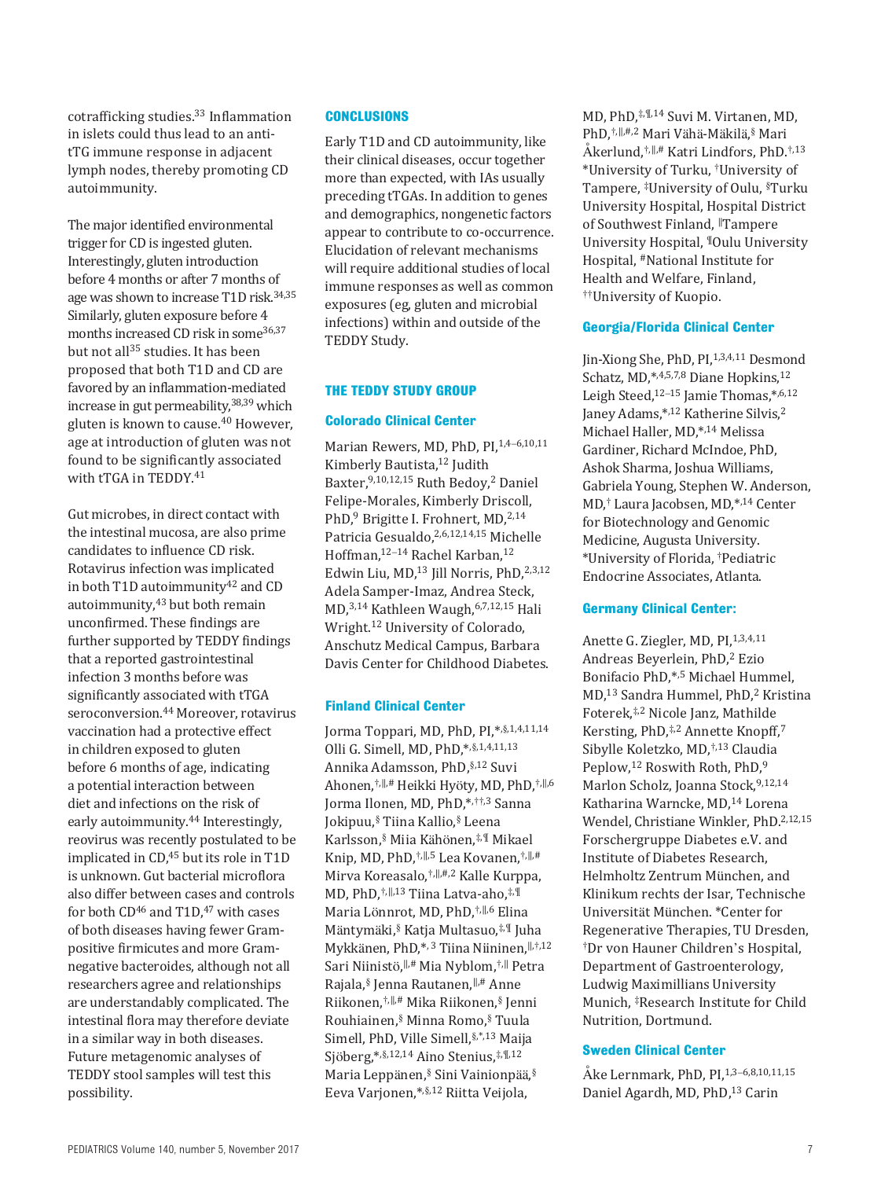cotrafficking studies. [33](#page-9-6) Inflammation in islets could thus lead to an antitTG immune response in adjacent lymph nodes, thereby promoting CD autoimmunity.

The major identified environmental trigger for CD is ingested gluten. Interestingly, gluten introduction before 4 months or after 7 months of age was shown to increase T1D risk. [34,](#page-9-7)[35](#page-9-8) Similarly, gluten exposure before 4 months increased CD risk in som[e](#page-9-9)[36](#page-9-9)[,37](#page-9-10) but not all<sup>35</sup> studies. It has been proposed that both T1D and CD are favored by an inflammation-mediated increase in gut permeability, [38,](#page-9-11)[39](#page-9-12) which gluten is known to cause. [40](#page-9-13) However, age at introduction of gluten was not found to be significantly associated with tTGA in TEDDY. [41](#page-9-14)

Gut microbes, in direct contact with the intestinal mucosa, are also prime candidates to influence CD risk. Rotavirus infection was implicated in both T1D autoimmunity $42$  and CD autoimmunity, <sup>43</sup> but both remain unconfirmed. These findings are further supported by TEDDY findings that a reported gastrointestinal infection 3 months before was significantly associated with tTGA seroconversion. [44](#page-9-17) Moreover, rotavirus vaccination had a protective effect in children exposed to gluten before 6 months of age, indicating a potential interaction between diet and infections on the risk of early autoimmunity. [44](#page-9-17) Interestingly, reovirus was recently postulated to be implicated in CD,<sup>45</sup> but its role in T1D is unknown. Gut bacterial microflora also differ between cases and controls for both  $CD^{46}$  $CD^{46}$  $CD^{46}$  and  $T1D,^{47}$  with cases of both diseases having fewer Grampositive firmicutes and more Gramnegative bacteroides, although not all researchers agree and relationships are understandably complicated. The intestinal flora may therefore deviate in a similar way in both diseases. Future metagenomic analyses of TEDDY stool samples will test this possibility.

# **Conclusions**

Early T1D and CD autoimmunity, like their clinical diseases, occur together more than expected, with IAs usually preceding tTGAs. In addition to genes and demographics, nongenetic factors appear to contribute to co-occurrence. Elucidation of relevant mechanisms will require additional studies of local immune responses as well as common exposures (eg, gluten and microbial infections) within and outside of the TEDDY Study.

## **The Teddy Study Group**

## **Colorado Clinical Center**

Marian Rewers, MD, PhD, PI, 1,4-6,10,11 Kimberly Bautista,<sup>12</sup> Judith Baxter,9,10,12,15 Ruth Bedoy,2 Daniel Felipe-Morales, Kimberly Driscoll, PhD,<sup>9</sup> Brigitte I. Frohnert, MD,<sup>2,14</sup> Patricia Gesualdo,2,6,12,14,15 Michelle Hoffman,12–14 Rachel Karban,12 Edwin Liu, MD,<sup>13</sup> Jill Norris, PhD,<sup>2,3,12</sup> Adela Samper-Imaz, Andrea Steck, MD,3,14 Kathleen Waugh,6,7,12,15 Hali Wright.12 University of Colorado, Anschutz Medical Campus, Barbara Davis Center for Childhood Diabetes.

## **Finland Clinical Center**

Jorma Toppari, MD, PhD, PI,\*,§,1,4,11,14 Olli G. Simell, MD, PhD,\*,§,1,4,11,13 Annika Adamsson, PhD,§,12 Suvi Ahonen,†,‖,# Heikki Hyöty, MD, PhD,†,‖,6 Jorma Ilonen, MD, PhD,\*,††,3 Sanna Jokipuu,§ Tiina Kallio,§ Leena Karlsson,§ Miia Kähönen,‡,¶ Mikael Knip, MD, PhD,†,‖,5 Lea Kovanen,†,‖,# Mirva Koreasalo,†,‖,#,2 Kalle Kurppa, MD, PhD,†,‖,13 Tiina Latva-aho,‡,¶ Maria Lönnrot, MD, PhD,†,‖,6 Elina Mäntymäki,§ Katja Multasuo,‡,¶ Juha Mykkänen, PhD,\*, 3 Tiina Niininen,‖,†,12 Sari Niinistö, ‖,# Mia Nyblom,†,‖ Petra Rajala,§ Jenna Rautanen,‖,# Anne Riikonen,†,‖,# Mika Riikonen,§ Jenni Rouhiainen,§ Minna Romo,§ Tuula Simell, PhD, Ville Simell,§,\*,13 Maija Sjöberg,\*,§,12,14 Aino Stenius,‡,¶,12 Maria Leppänen,§ Sini Vainionpää, § Eeva Varjonen,\*,§,12 Riitta Veijola,

MD, PhD,‡,¶,14 Suvi M. Virtanen, MD, PhD,†,‖,#,2 Mari Vähä-Mäkilä, § Mari Åkerlund,†,‖,# Katri Lindfors, PhD.†,13 \*University of Turku, †University of Tampere, ‡University of Oulu, §Turku University Hospital, Hospital District of Southwest Finland, ‖Tampere University Hospital, ¶Oulu University Hospital, #National Institute for Health and Welfare, Finland, ††University of Kuopio.

## **Georgia/Florida Clinical Center**

Jin-Xiong She, PhD, PI, 1,3,4,11 Desmond Schatz, MD,\*,4,5,7,8 Diane Hopkins,12 Leigh Steed, $12-15$  Jamie Thomas, $*$ ,6,12 Janey Adams,\*,12 Katherine Silvis,2 Michael Haller, MD,\*,14 Melissa Gardiner, Richard McIndoe, PhD, Ashok Sharma, Joshua Williams, Gabriela Young, Stephen W. Anderson, MD,† Laura Jacobsen, MD,\*,14 Center for Biotechnology and Genomic Medicine, Augusta University. \*University of Florida, †Pediatric Endocrine Associates, Atlanta.

## **Germany Clinical Center:**

Anette G. Ziegler, MD, PI,<sup>1,3,4,11</sup> Andreas Beyerlein, PhD,2 Ezio Bonifacio PhD,\*,5 Michael Hummel, MD,<sup>13</sup> Sandra Hummel, PhD,<sup>2</sup> Kristina Foterek,‡,2 Nicole Janz, Mathilde Kersting, PhD,<sup>‡,2</sup> Annette Knopff,<sup>7</sup> Sibylle Koletzko, MD,†,13 Claudia Peplow,<sup>12</sup> Roswith Roth, PhD,<sup>9</sup> Marlon Scholz, Joanna Stock, 9,12,14 Katharina Warncke, MD,14 Lorena Wendel, Christiane Winkler, PhD.2,12,15 Forschergruppe Diabetes e.V. and Institute of Diabetes Research, Helmholtz Zentrum München, and Klinikum rechts der Isar, Technische Universität München. \*Center for Regenerative Therapies, TU Dresden, †Dr von Hauner Children's Hospital, Department of Gastroenterology, Ludwig Maximillians University Munich, ‡Research Institute for Child Nutrition, Dortmund.

# **Sweden Clinical Center**

Åke Lernmark, PhD, PI, 1,3-6,8,10,11,15 Daniel Agardh, MD, PhD,<sup>13</sup> Carin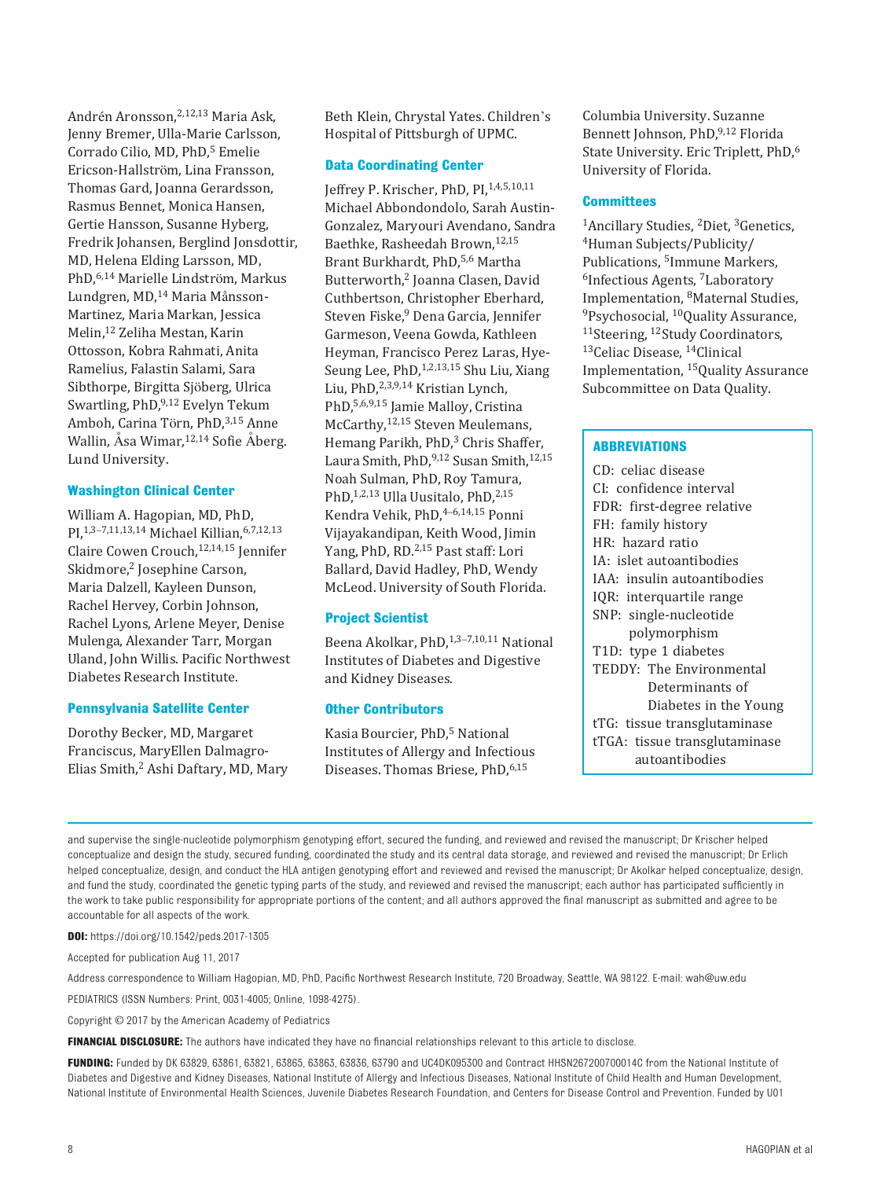Andrén Aronsson,2,12,13 Maria Ask, Jenny Bremer, Ulla-Marie Carlsson, Corrado Cilio, MD, PhD,<sup>5</sup> Emelie Ericson-Hallström, Lina Fransson, Thomas Gard, Joanna Gerardsson, Rasmus Bennet, Monica Hansen, Gertie Hansson, Susanne Hyberg, Fredrik Johansen, Berglind Jonsdottir, MD, Helena Elding Larsson, MD, PhD,6,14 Marielle Lindström, Markus Lundgren, MD,14 Maria Månsson-Martinez, Maria Markan, Jessica Melin,12 Zeliha Mestan, Karin Ottosson, Kobra Rahmati, Anita Ramelius, Falastin Salami, Sara Sibthorpe, Birgitta Sjöberg, Ulrica Swartling, PhD,9,12 Evelyn Tekum Amboh, Carina Törn, PhD, 3,15 Anne Wallin, Åsa Wimar, 12,14 Sofie Åberg. Lund University.

## **Washington Clinical Center**

William A. Hagopian, MD, PhD, PI,1,3–7,11,13,14 Michael Killian,6,7,12,13 Claire Cowen Crouch,12,14,15 Jennifer Skidmore,<sup>2</sup> Josephine Carson, Maria Dalzell, Kayleen Dunson, Rachel Hervey, Corbin Johnson, Rachel Lyons, Arlene Meyer, Denise Mulenga, Alexander Tarr, Morgan Uland, John Willis. Pacific Northwest Diabetes Research Institute.

#### **Pennsylvania Satellite Center**

Dorothy Becker, MD, Margaret Franciscus, MaryEllen Dalmagro-Elias Smith,<sup>2</sup> Ashi Daftary, MD, Mary Beth Klein, Chrystal Yates. Children's Hospital of Pittsburgh of UPMC.

## **Data Coordinating Center**

Jeffrey P. Krischer, PhD, PI, 1,4,5,10,11 Michael Abbondondolo, Sarah Austin-Gonzalez, Maryouri Avendano, Sandra Baethke, Rasheedah Brown,12,15 Brant Burkhardt, PhD,5,6 Martha Butterworth,2 Joanna Clasen, David Cuthbertson, Christopher Eberhard, Steven Fiske,<sup>9</sup> Dena Garcia, Jennifer Garmeson, Veena Gowda, Kathleen Heyman, Francisco Perez Laras, Hye-Seung Lee, PhD, 1,2,13,15 Shu Liu, Xiang Liu, PhD,2,3,9,14 Kristian Lynch, PhD,5,6,9,15 Jamie Malloy, Cristina McCarthy,12,15 Steven Meulemans, Hemang Parikh, PhD,<sup>3</sup> Chris Shaffer, Laura Smith, PhD, 9,12 Susan Smith, 12,15 Noah Sulman, PhD, Roy Tamura, PhD,<sup>1,2,13</sup> Ulla Uusitalo, PhD,<sup>2,15</sup> Kendra Vehik, PhD,4–6,14,15 Ponni Vijayakandipan, Keith Wood, Jimin Yang, PhD, RD.2,15 Past staff: Lori Ballard, David Hadley, PhD, Wendy McLeod. University of South Florida.

#### **Project Scientist**

Beena Akolkar, PhD,1,3–7,10,11 National Institutes of Diabetes and Digestive and Kidney Diseases.

# **Other Contributors**

Kasia Bourcier, PhD,<sup>5</sup> National Institutes of Allergy and Infectious Diseases. Thomas Briese, PhD, 6,15

Columbia University. Suzanne Bennett Johnson, PhD,9,12 Florida State University. Eric Triplett, PhD,<sup>6</sup> University of Florida.

#### **Committees**

<sup>1</sup>Ancillary Studies, <sup>2</sup>Diet, <sup>3</sup>Genetics, <sup>4</sup>Human Subjects/Publicity/ Publications, 5Immune Markers, 6Infectious Agents, 7Laboratory Implementation, <sup>8</sup>Maternal Studies,<br><sup>9</sup>Psychosocial, <sup>10</sup>Quality Assurance, <sup>11</sup>Steering, <sup>12</sup>Study Coordinators, 13Celiac Disease, 14Clinical Implementation, 15Quality Assurance Subcommittee on Data Quality.

## **Abbreviations**

CD: celiac disease CI: confidence interval FDR: first-degree relative FH: family history HR: hazard ratio IA: islet autoantibodies IAA: insulin autoantibodies IQR: interquartile range SNP: single-nucleotide polymorphism T1D: type 1 diabetes TEDDY: The Environmental Determinants of Diabetes in the Young tTG: tissue transglutaminase tTGA: tissue transglutaminase autoantibodies

and supervise the single-nucleotide polymorphism genotyping effort, secured the funding, and reviewed and revised the manuscript; Dr Krischer helped conceptualize and design the study, secured funding, coordinated the study and its central data storage, and reviewed and revised the manuscript; Dr Erlich helped conceptualize, design, and conduct the HLA antigen genotyping effort and reviewed and revised the manuscript; Dr Akolkar helped conceptualize, design, and fund the study, coordinated the genetic typing parts of the study, and reviewed and revised the manuscript; each author has participated sufficiently in the work to take public responsibility for appropriate portions of the content; and all authors approved the final manuscript as submitted and agree to be accountable for all aspects of the work.

**DOI:**<https://doi.org/10.1542/peds.2017-1305>

Accepted for publication Aug 11, 2017

Address correspondence to William Hagopian, MD, PhD, Pacific Northwest Research Institute, 720 Broadway, Seattle, WA 98122. E-mail: wah@uw.edu

PEDIATRICS (ISSN Numbers: Print, 0031-4005; Online, 1098-4275).

Copyright © 2017 by the American Academy of Pediatrics

**FINANCIAL DISCLOSURE:** The authors have indicated they have no financial relationships relevant to this article to disclose.

**FUNDING:** Funded by DK 63829, 63861, 63821, 63865, 63863, 63836, 63790 and UC4DK095300 and Contract HHSN267200700014C from the National Institute of Diabetes and Digestive and Kidney Diseases, National Institute of Allergy and Infectious Diseases, National Institute of Child Health and Human Development, National Institute of Environmental Health Sciences, Juvenile Diabetes Research Foundation, and Centers for Disease Control and Prevention. Funded by U01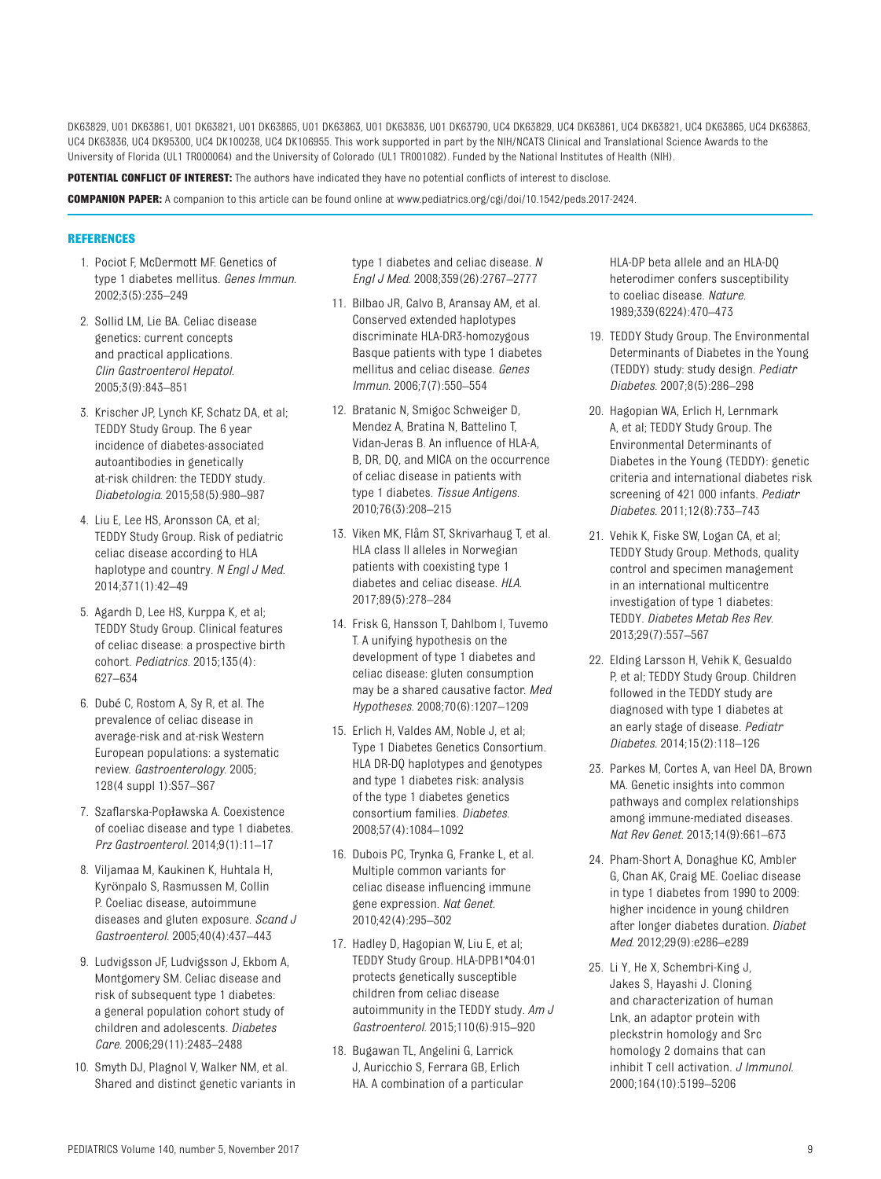DK63829, U01 DK63861, U01 DK63821, U01 DK63865, U01 DK63863, U01 DK63836, U01 DK63790, UC4 DK63829, UC4 DK63861, UC4 DK63821, UC4 DK63865, UC4 DK63863, UC4 DK63836, UC4 DK95300, UC4 DK100238, UC4 DK106955. This work supported in part by the NIH/NCATS Clinical and Translational Science Awards to the University of Florida (UL1 TR000064) and the University of Colorado (UL1 TR001082). Funded by the National Institutes of Health (NIH).

**POTENTIAL CONFLICT OF INTEREST:** The authors have indicated they have no potential conflicts of interest to disclose.

**COMPANION PAPER:** A companion to this article can be found online at [www.pediatrics.org/cgi/doi/10.1542/peds.2017-2424](http://www.pediatrics.org/cgi/doi/10.1542/peds.2017-2424).

#### **References**

- <span id="page-8-0"></span>1. Pociot F, McDermott MF. Genetics of type 1 diabetes mellitus. *Genes Immun*. 2002;3(5):235–249
- <span id="page-8-1"></span>2. Sollid LM, Lie BA. Celiac disease genetics: current concepts and practical applications. *Clin Gastroenterol Hepatol*. 2005;3(9):843–851
- <span id="page-8-2"></span>3. Krischer JP, Lynch KF, Schatz DA, et al; TEDDY Study Group. The 6 year incidence of diabetes-associated autoantibodies in genetically at-risk children: the TEDDY study. *Diabetologia*. 2015;58(5):980–987
- <span id="page-8-3"></span>4. Liu E, Lee HS, Aronsson CA, et al; TEDDY Study Group. Risk of pediatric celiac disease according to HLA haplotype and country. *N Engl J Med*. 2014;371(1):42–49
- <span id="page-8-4"></span>5. Agardh D, Lee HS, Kurppa K, et al; TEDDY Study Group. Clinical features of celiac disease: a prospective birth cohort. *Pediatrics*. 2015;135(4): 627–634
- <span id="page-8-5"></span>6. Dubé C, Rostom A, Sy R, et al. The prevalence of celiac disease in average-risk and at-risk Western European populations: a systematic review. *Gastroenterology*. 2005; 128(4 suppl 1):S57–S67
- <span id="page-8-6"></span>7. Szaflarska-Popławska A. Coexistence of coeliac disease and type 1 diabetes. *Prz Gastroenterol*. 2014;9(1):11–17
- <span id="page-8-7"></span>8. Viljamaa M, Kaukinen K, Huhtala H, Kyrönpalo S, Rasmussen M, Collin P. Coeliac disease, autoimmune diseases and gluten exposure. *Scand J Gastroenterol*. 2005;40(4):437–443
- <span id="page-8-8"></span>9. Ludvigsson JF, Ludvigsson J, Ekbom A, Montgomery SM. Celiac disease and risk of subsequent type 1 diabetes: a general population cohort study of children and adolescents. *Diabetes Care*. 2006;29(11):2483–2488
- <span id="page-8-9"></span>10. Smyth DJ, Plagnol V, Walker NM, et al. Shared and distinct genetic variants in

type 1 diabetes and celiac disease. *N Engl J Med*. 2008;359(26):2767–2777

- 11. Bilbao JR, Calvo B, Aransay AM, et al. Conserved extended haplotypes discriminate HLA-DR3-homozygous Basque patients with type 1 diabetes mellitus and celiac disease. *Genes Immun*. 2006;7(7):550–554
- <span id="page-8-21"></span>12. Bratanic N, Smigoc Schweiger D, Mendez A, Bratina N, Battelino T, Vidan-Jeras B. An influence of HLA-A, B, DR, DQ, and MICA on the occurrence of celiac disease in patients with type 1 diabetes. *Tissue Antigens*. 2010;76(3):208–215
- <span id="page-8-10"></span>13. Viken MK, Flåm ST, Skrivarhaug T, et al. HLA class II alleles in Norwegian patients with coexisting type 1 diabetes and celiac disease. *HLA*. 2017;89(5):278–284
- <span id="page-8-11"></span>14. Frisk G, Hansson T, Dahlbom I, Tuvemo T. A unifying hypothesis on the development of type 1 diabetes and celiac disease: gluten consumption may be a shared causative factor. *Med Hypotheses*. 2008;70(6):1207–1209
- <span id="page-8-12"></span>15. Erlich H, Valdes AM, Noble J, et al; Type 1 Diabetes Genetics Consortium. HLA DR-DQ haplotypes and genotypes and type 1 diabetes risk: analysis of the type 1 diabetes genetics consortium families. *Diabetes*. 2008;57(4):1084–1092
- <span id="page-8-13"></span>16. Dubois PC, Trynka G, Franke L, et al. Multiple common variants for celiac disease influencing immune gene expression. *Nat Genet*. 2010;42(4):295–302
- 17. Hadley D, Hagopian W, Liu E, et al; TEDDY Study Group. HLA-DPB1\*04:01 protects genetically susceptible children from celiac disease autoimmunity in the TEDDY study. *Am J Gastroenterol*. 2015;110(6):915–920
- <span id="page-8-14"></span>18. Bugawan TL, Angelini G, Larrick J, Auricchio S, Ferrara GB, Erlich HA. A combination of a particular

HLA-DP beta allele and an HLA-DQ heterodimer confers susceptibility to coeliac disease. *Nature*. 1989;339(6224):470–473

- <span id="page-8-15"></span>19. TEDDY Study Group. The Environmental Determinants of Diabetes in the Young (TEDDY) study: study design. *Pediatr Diabetes*. 2007;8(5):286–298
- <span id="page-8-16"></span>20. Hagopian WA, Erlich H, Lernmark A, et al; TEDDY Study Group. The Environmental Determinants of Diabetes in the Young (TEDDY): genetic criteria and international diabetes risk screening of 421 000 infants. *Pediatr Diabetes*. 2011;12(8):733–743
- <span id="page-8-17"></span>21. Vehik K, Fiske SW, Logan CA, et al; TEDDY Study Group. Methods, quality control and specimen management in an international multicentre investigation of type 1 diabetes: TEDDY. *Diabetes Metab Res Rev*. 2013;29(7):557–567
- <span id="page-8-18"></span>22. Elding Larsson H, Vehik K, Gesualdo P, et al; TEDDY Study Group. Children followed in the TEDDY study are diagnosed with type 1 diabetes at an early stage of disease. *Pediatr Diabetes*. 2014;15(2):118–126
- <span id="page-8-19"></span>23. Parkes M, Cortes A, van Heel DA, Brown MA. Genetic insights into common pathways and complex relationships among immune-mediated diseases. *Nat Rev Genet*. 2013;14(9):661–673
- <span id="page-8-20"></span>24. Pham-Short A, Donaghue KC, Ambler G, Chan AK, Craig ME. Coeliac disease in type 1 diabetes from 1990 to 2009: higher incidence in young children after longer diabetes duration. *Diabet Med*. 2012;29(9):e286–e289
- <span id="page-8-22"></span>25. Li Y, He X, Schembri-King J, Jakes S, Hayashi J. Cloning and characterization of human Lnk, an adaptor protein with pleckstrin homology and Src homology 2 domains that can inhibit T cell activation. *J Immunol*. 2000;164(10):5199–5206